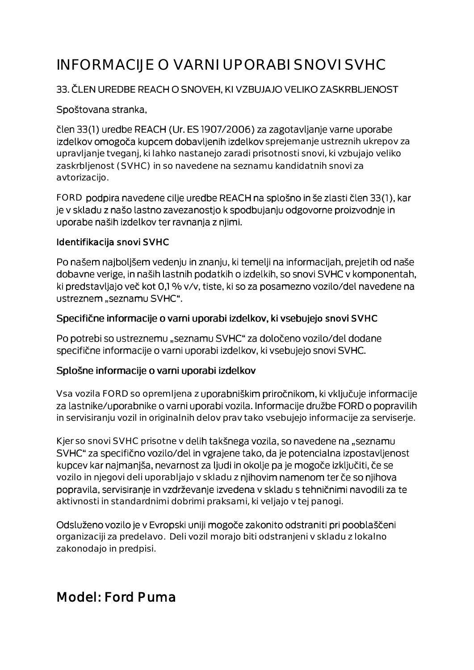# INFORMACIJE O VARNI UPORABI SNOVI SVHC

#### 33. ČLEN UREDBE REACH O SNOVEH, KI VZBUJAJO VELIKO ZASKRBLJENOST

#### Spoštovana stranka,

člen 33(1) uredbe REACH (Ur. ES 1907/2006) za zagotavljanje varne uporabe izdelkov omogoča kupcem dobavljenih izdelkov sprejemanje ustreznih ukrepov za upravljanje tveganj, ki lahko nastanejo zaradi prisotnosti snovi, ki vzbujajo veliko zaskrbljenost (SVHC) in so navedene na seznamu kandidatnih snovi za avtorizacijo.

FORD podpira navedene cilje uredbe REACH na splošno in še zlasti člen 33(1), kar je v skladu z našo lastno zavezanostjo k spodbujanju odgovorne proizvodnje in uporabe naših izdelkov ter ravnanja z njimi.

#### Identifikacija snovi SVHC

Po našem najboljšem vedenju in znanju, ki temelji na informacijah, prejetih od naše dobavne verige, in naših lastnih podatkih o izdelkih, so snovi SVHC v komponentah, ki predstavljajo več kot 0,1 % v/v, tiste, ki so za posamezno vozilo/del navedene na ustreznem "seznamu SVHC".

#### Specifične informacije o varni uporabi izdelkov, ki vsebujejo snovi SVHC

Po potrebi so ustreznemu "seznamu SVHC" za določeno vozilo/del dodane specifične informacije o varni uporabi izdelkov, ki vsebujejo snovi SVHC.

#### Splošne informacije o varni uporabi izdelkov

Vsa vozila FORD so opremljena z uporabniškim priročnikom, ki vključuje informacije za lastnike/uporabnike o varni uporabi vozila. Informacije družbe FORD o popravilih in servisiranju vozil in originalnih delov prav tako vsebujejo informacije za serviserje.

Kjer so snovi SVHC prisotne v delih takšnega vozila, so navedene na "seznamu SVHC" za specifično vozilo/del in vgrajene tako, da je potencialna izpostavljenost kupcev kar najmanjša, nevarnost za ljudi in okolje pa je mogoče izključiti, če se vozilo in njegovi deli uporabljajo v skladu z njihovim namenom ter če so njihova popravila, servisiranje in vzdrževanje izvedena v skladu s tehničnimi navodili za te aktivnosti in standardnimi dobrimi praksami, ki veljajo v tej panogi.

Odsluženo vozilo je v Evropski uniji mogoče zakonito odstraniti pri pooblaščeni organizaciji za predelavo. Deli vozil morajo biti odstranjeni v skladu z lokalno zakonodajo in predpisi.

## Model: Ford Puma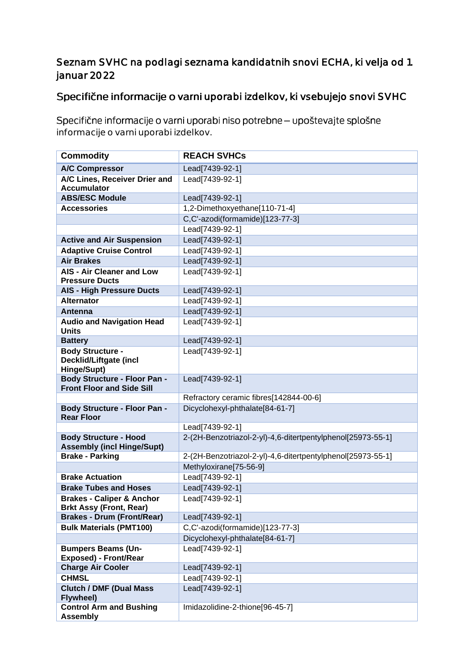#### Seznam SVHC na podlagi seznama kandidatnih snovi ECHA, ki velja od 1. januar 2022

### Specifične informacije o varni uporabi izdelkov, ki vsebujejo snovi SVHC

Specifične informacije o varni uporabi niso potrebne - upoštevajte splošne informacije o varni uporabi izdelkov.

| <b>Commodity</b>                                                        | <b>REACH SVHCs</b>                                          |
|-------------------------------------------------------------------------|-------------------------------------------------------------|
| <b>A/C Compressor</b>                                                   | Lead[7439-92-1]                                             |
| A/C Lines, Receiver Drier and<br><b>Accumulator</b>                     | Lead[7439-92-1]                                             |
| <b>ABS/ESC Module</b>                                                   | Lead[7439-92-1]                                             |
| <b>Accessories</b>                                                      | 1,2-Dimethoxyethane[110-71-4]                               |
|                                                                         | C,C'-azodi(formamide)[123-77-3]                             |
|                                                                         | Lead[7439-92-1]                                             |
| <b>Active and Air Suspension</b>                                        | Lead[7439-92-1]                                             |
| <b>Adaptive Cruise Control</b>                                          | Lead[7439-92-1]                                             |
| <b>Air Brakes</b>                                                       | Lead[7439-92-1]                                             |
| <b>AIS - Air Cleaner and Low</b><br><b>Pressure Ducts</b>               | Lead[7439-92-1]                                             |
| <b>AIS - High Pressure Ducts</b>                                        | Lead[7439-92-1]                                             |
| <b>Alternator</b>                                                       | Lead[7439-92-1]                                             |
| Antenna                                                                 | Lead[7439-92-1]                                             |
| <b>Audio and Navigation Head</b><br><b>Units</b>                        | Lead[7439-92-1]                                             |
| <b>Battery</b>                                                          | Lead[7439-92-1]                                             |
| <b>Body Structure -</b><br><b>Decklid/Liftgate (incl</b><br>Hinge/Supt) | Lead[7439-92-1]                                             |
| <b>Body Structure - Floor Pan -</b><br><b>Front Floor and Side Sill</b> | Lead[7439-92-1]                                             |
|                                                                         | Refractory ceramic fibres[142844-00-6]                      |
| <b>Body Structure - Floor Pan -</b><br><b>Rear Floor</b>                | Dicyclohexyl-phthalate[84-61-7]                             |
|                                                                         | Lead[7439-92-1]                                             |
| <b>Body Structure - Hood</b><br><b>Assembly (incl Hinge/Supt)</b>       | 2-(2H-Benzotriazol-2-yl)-4,6-ditertpentylphenol[25973-55-1] |
| <b>Brake - Parking</b>                                                  | 2-(2H-Benzotriazol-2-yl)-4,6-ditertpentylphenol[25973-55-1] |
|                                                                         | Methyloxirane[75-56-9]                                      |
| <b>Brake Actuation</b>                                                  | Lead[7439-92-1]                                             |
| <b>Brake Tubes and Hoses</b>                                            | Lead[7439-92-1]                                             |
| <b>Brakes - Caliper &amp; Anchor</b><br>Brkt Assy (Front, Rear)         | Lead[7439-92-1]                                             |
| <b>Brakes - Drum (Front/Rear)</b>                                       | Lead[7439-92-1]                                             |
| <b>Bulk Materials (PMT100)</b>                                          | C,C'-azodi(formamide)[123-77-3]                             |
|                                                                         | Dicyclohexyl-phthalate[84-61-7]                             |
| <b>Bumpers Beams (Un-</b><br><b>Exposed) - Front/Rear</b>               | Lead[7439-92-1]                                             |
| <b>Charge Air Cooler</b>                                                | Lead[7439-92-1]                                             |
| <b>CHMSL</b>                                                            | Lead[7439-92-1]                                             |
| <b>Clutch / DMF (Dual Mass</b><br>Flywheel)                             | Lead[7439-92-1]                                             |
| <b>Control Arm and Bushing</b><br><b>Assembly</b>                       | Imidazolidine-2-thione[96-45-7]                             |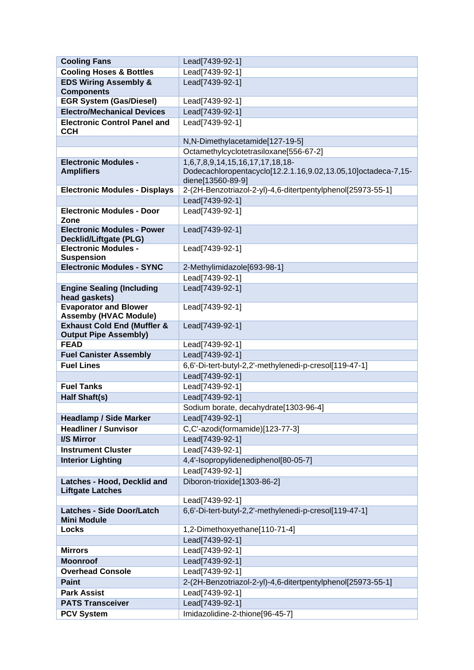| <b>Cooling Fans</b>                                                | Lead[7439-92-1]                                               |
|--------------------------------------------------------------------|---------------------------------------------------------------|
| <b>Cooling Hoses &amp; Bottles</b>                                 | Lead[7439-92-1]                                               |
| <b>EDS Wiring Assembly &amp;</b><br><b>Components</b>              | Lead[7439-92-1]                                               |
| <b>EGR System (Gas/Diesel)</b>                                     | Lead[7439-92-1]                                               |
| <b>Electro/Mechanical Devices</b>                                  | Lead[7439-92-1]                                               |
| <b>Electronic Control Panel and</b>                                | Lead[7439-92-1]                                               |
| <b>CCH</b>                                                         |                                                               |
|                                                                    | N,N-Dimethylacetamide[127-19-5]                               |
|                                                                    | Octamethylcyclotetrasiloxane[556-67-2]                        |
| <b>Electronic Modules -</b>                                        | 1,6,7,8,9,14,15,16,17,17,18,18-                               |
| <b>Amplifiers</b>                                                  | Dodecachloropentacyclo[12.2.1.16,9.02,13.05,10]octadeca-7,15- |
|                                                                    | diene[13560-89-9]                                             |
| <b>Electronic Modules - Displays</b>                               | 2-(2H-Benzotriazol-2-yl)-4,6-ditertpentylphenol[25973-55-1]   |
|                                                                    | Lead[7439-92-1]                                               |
| <b>Electronic Modules - Door</b><br>Zone                           | Lead[7439-92-1]                                               |
| <b>Electronic Modules - Power</b><br><b>Decklid/Liftgate (PLG)</b> | Lead[7439-92-1]                                               |
| <b>Electronic Modules -</b>                                        | Lead[7439-92-1]                                               |
| <b>Suspension</b>                                                  |                                                               |
| <b>Electronic Modules - SYNC</b>                                   | 2-Methylimidazole[693-98-1]                                   |
|                                                                    | Lead[7439-92-1]                                               |
| <b>Engine Sealing (Including</b><br>head gaskets)                  | Lead[7439-92-1]                                               |
| <b>Evaporator and Blower</b><br><b>Assemby (HVAC Module)</b>       | Lead[7439-92-1]                                               |
| <b>Exhaust Cold End (Muffler &amp;</b>                             | Lead[7439-92-1]                                               |
| <b>Output Pipe Assembly)</b>                                       |                                                               |
| <b>FEAD</b>                                                        | Lead[7439-92-1]                                               |
| <b>Fuel Canister Assembly</b>                                      | Lead[7439-92-1]                                               |
| <b>Fuel Lines</b>                                                  | 6,6'-Di-tert-butyl-2,2'-methylenedi-p-cresol[119-47-1]        |
|                                                                    | Lead[7439-92-1]                                               |
| <b>Fuel Tanks</b>                                                  | Lead[7439-92-1]                                               |
| <b>Half Shaft(s)</b>                                               | Lead[7439-92-1]                                               |
|                                                                    | Sodium borate, decahydrate[1303-96-4]                         |
| <b>Headlamp / Side Marker</b>                                      | Lead[7439-92-1]                                               |
| <b>Headliner / Sunvisor</b>                                        | C,C'-azodi(formamide)[123-77-3]                               |
| <b>I/S Mirror</b>                                                  | Lead[7439-92-1]                                               |
| <b>Instrument Cluster</b>                                          | Lead[7439-92-1]                                               |
| <b>Interior Lighting</b>                                           | 4,4'-Isopropylidenediphenol[80-05-7]                          |
|                                                                    | Lead[7439-92-1]                                               |
| Latches - Hood, Decklid and<br><b>Liftgate Latches</b>             | Diboron-trioxide[1303-86-2]                                   |
|                                                                    | Lead[7439-92-1]                                               |
| <b>Latches - Side Door/Latch</b><br><b>Mini Module</b>             | 6,6'-Di-tert-butyl-2,2'-methylenedi-p-cresol[119-47-1]        |
| Locks                                                              | 1,2-Dimethoxyethane[110-71-4]                                 |
|                                                                    | Lead[7439-92-1]                                               |
| <b>Mirrors</b>                                                     | Lead[7439-92-1]                                               |
| <b>Moonroof</b>                                                    | Lead[7439-92-1]                                               |
| <b>Overhead Console</b>                                            | Lead[7439-92-1]                                               |
| <b>Paint</b>                                                       | 2-(2H-Benzotriazol-2-yl)-4,6-ditertpentylphenol[25973-55-1]   |
| <b>Park Assist</b>                                                 | Lead[7439-92-1]                                               |
| <b>PATS Transceiver</b>                                            | Lead[7439-92-1]                                               |
| <b>PCV System</b>                                                  | Imidazolidine-2-thione[96-45-7]                               |